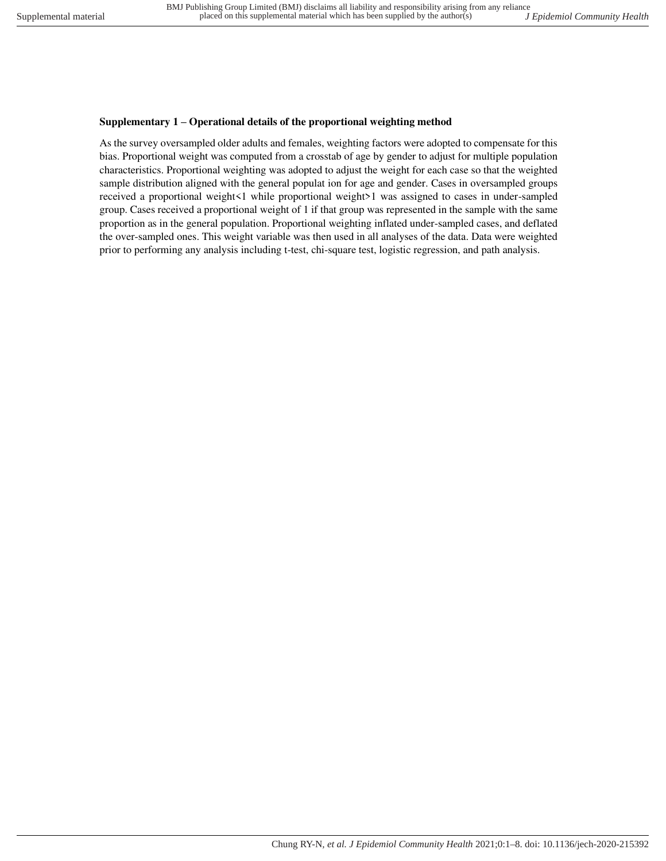## **Supplementary 1 – Operational details of the proportional weighting method**

As the survey oversampled older adults and females, weighting factors were adopted to compensate for this bias. Proportional weight was computed from a crosstab of age by gender to adjust for multiple population characteristics. Proportional weighting was adopted to adjust the weight for each case so that the weighted sample distribution aligned with the general populat ion for age and gender. Cases in oversampled groups received a proportional weight<1 while proportional weight>1 was assigned to cases in under-sampled group. Cases received a proportional weight of 1 if that group was represented in the sample with the same proportion as in the general population. Proportional weighting inflated under-sampled cases, and deflated the over-sampled ones. This weight variable was then used in all analyses of the data. Data were weighted prior to performing any analysis including t-test, chi-square test, logistic regression, and path analysis.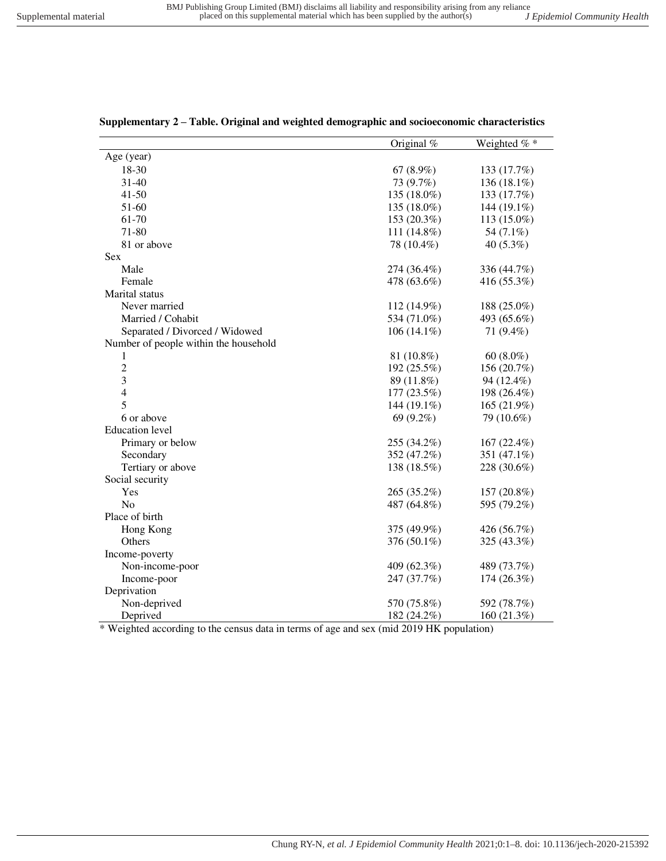|                                       | Original $%$  | Weighted $%$ * |
|---------------------------------------|---------------|----------------|
| Age (year)                            |               |                |
| 18-30                                 | 67 $(8.9\%)$  | 133 (17.7%)    |
| 31-40                                 | 73 (9.7%)     | 136 (18.1%)    |
| $41 - 50$                             | 135 (18.0%)   | 133 (17.7%)    |
| 51-60                                 | 135 (18.0%)   | 144 (19.1%)    |
| 61-70                                 | 153 (20.3%)   | 113 (15.0%)    |
| 71-80                                 | $111(14.8\%)$ | 54 (7.1%)      |
| 81 or above                           | 78 (10.4%)    | $40(5.3\%)$    |
| Sex                                   |               |                |
| Male                                  | 274 (36.4%)   | 336 (44.7%)    |
| Female                                | 478 (63.6%)   | 416 (55.3%)    |
| Marital status                        |               |                |
| Never married                         | 112 (14.9%)   | 188 (25.0%)    |
| Married / Cohabit                     | 534 (71.0%)   | 493 (65.6%)    |
| Separated / Divorced / Widowed        | $106(14.1\%)$ | 71 (9.4%)      |
| Number of people within the household |               |                |
| 1                                     | 81 (10.8%)    | $60(8.0\%)$    |
| $\overline{c}$                        | 192 (25.5%)   | 156 (20.7%)    |
| 3                                     | 89 (11.8%)    | 94 (12.4%)     |
| $\overline{\mathcal{L}}$              | 177 (23.5%)   | 198 (26.4%)    |
| 5                                     | 144 (19.1%)   | 165 (21.9%)    |
| 6 or above                            | 69 (9.2%)     | 79 (10.6%)     |
| <b>Education</b> level                |               |                |
| Primary or below                      | 255 (34.2%)   | 167 (22.4%)    |
| Secondary                             | 352 (47.2%)   | 351 (47.1%)    |
| Tertiary or above                     | 138 (18.5%)   | 228 (30.6%)    |
| Social security                       |               |                |
| Yes                                   | 265 (35.2%)   | 157 (20.8%)    |
| N <sub>o</sub>                        | 487 (64.8%)   | 595 (79.2%)    |
| Place of birth                        |               |                |
| Hong Kong                             | 375 (49.9%)   | 426 (56.7%)    |
| Others                                | 376 (50.1%)   | 325 (43.3%)    |
| Income-poverty                        |               |                |
| Non-income-poor                       | 409 (62.3%)   | 489 (73.7%)    |
| Income-poor                           | 247 (37.7%)   | 174 (26.3%)    |
| Deprivation                           |               |                |
| Non-deprived                          | 570 (75.8%)   | 592 (78.7%)    |
| Deprived                              | 182 (24.2%)   | 160 (21.3%)    |

|  |  | Supplementary 2 - Table. Original and weighted demographic and socioeconomic characteristics |  |
|--|--|----------------------------------------------------------------------------------------------|--|
|  |  |                                                                                              |  |

\* Weighted according to the census data in terms of age and sex (mid 2019 HK population)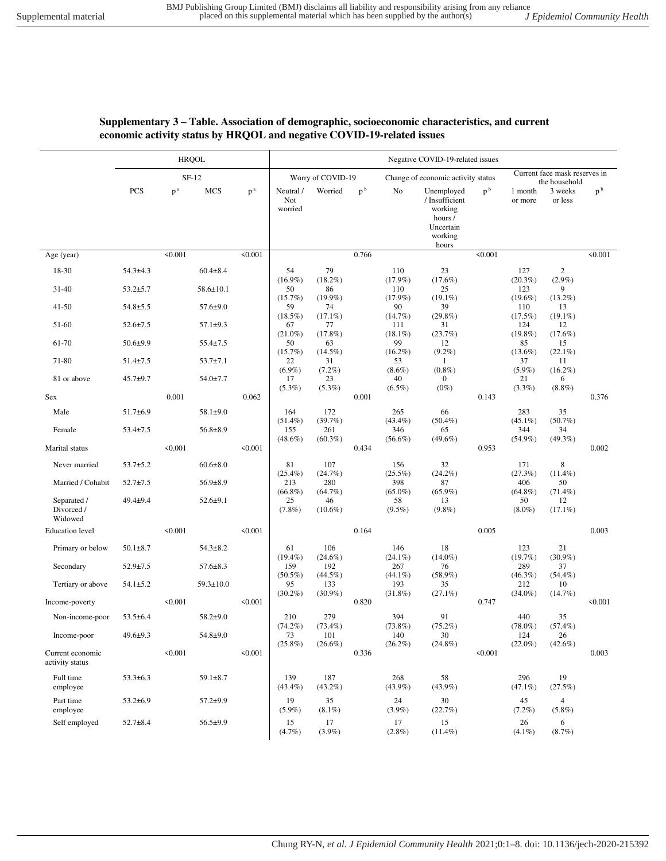## **Supplementary 3 – Table. Association of demographic, socioeconomic characteristics, and current economic activity status by HRQOL and negative COVID-19-related issues**

|                                      | <b>HRQOL</b>   |         |                 | Negative COVID-19-related issues |                                 |                                    |                |                                 |                                                                                     |                |                                 |                                |                |
|--------------------------------------|----------------|---------|-----------------|----------------------------------|---------------------------------|------------------------------------|----------------|---------------------------------|-------------------------------------------------------------------------------------|----------------|---------------------------------|--------------------------------|----------------|
|                                      | $SF-12$        |         |                 | Worry of COVID-19                |                                 | Change of economic activity status |                |                                 | Current face mask reserves in<br>the household                                      |                |                                 |                                |                |
|                                      | PCS            | $p^a$   | <b>MCS</b>      | $p^a$                            | Neutral /<br>Not<br>worried     | Worried                            | p <sup>b</sup> | No                              | Unemployed<br>/ Insufficient<br>working<br>hours /<br>Uncertain<br>working<br>hours | p <sup>b</sup> | 1 month<br>or more              | 3 weeks<br>or less             | p <sup>b</sup> |
| Age (year)                           |                | < 0.001 |                 | < 0.001                          |                                 |                                    | 0.766          |                                 |                                                                                     | < 0.001        |                                 |                                | < 0.001        |
| 18-30                                | $54.3 \pm 4.3$ |         | $60.4 \pm 8.4$  |                                  | 54                              | 79                                 |                | 110                             | 23                                                                                  |                | 127                             | 2                              |                |
| 31-40                                | $53.2 \pm 5.7$ |         | $58.6 \pm 10.1$ |                                  | $(16.9\%)$<br>50                | $(18.2\%)$<br>86                   |                | $(17.9\%)$<br>110               | (17.6%)<br>25                                                                       |                | $(20.3\%)$<br>123               | $(2.9\%)$<br>9                 |                |
| 41-50                                | $54.8 \pm 5.5$ |         | $57.6 \pm 9.0$  |                                  | $(15.7\%)$<br>59<br>$(18.5\%)$  | $(19.9\%)$<br>74<br>$(17.1\%)$     |                | $(17.9\%)$<br>90                | $(19.1\%)$<br>39<br>$(29.8\%)$                                                      |                | $(19.6\%)$<br>110               | $(13.2\%)$<br>13<br>$(19.1\%)$ |                |
| 51-60                                | $52.6 \pm 7.5$ |         | $57.1 \pm 9.3$  |                                  | 67                              | 77                                 |                | (14.7%)<br>111                  | 31                                                                                  |                | (17.5%)<br>124                  | 12                             |                |
| 61-70                                | $50.6 + 9.9$   |         | $55.4 \pm 7.5$  |                                  | $(21.0\%)$<br>50                | $(17.8\%)$<br>63                   |                | $(18.1\%)$<br>99                | (23.7%)<br>12                                                                       |                | $(19.8\%)$<br>85                | $(17.6\%)$<br>15               |                |
| 71-80                                | $51.4 \pm 7.5$ |         | $53.7 \pm 7.1$  |                                  | (15.7%)<br>22                   | $(14.5\%)$<br>31                   |                | $(16.2\%)$<br>53                | $(9.2\%)$<br>1                                                                      |                | $(13.6\%)$<br>37                | $(22.1\%)$<br>11               |                |
| 81 or above                          | $45.7 + 9.7$   |         | $54.0 \pm 7.7$  |                                  | $(6.9\%)$<br>17                 | $(7.2\%)$<br>23                    |                | $(8.6\%)$<br>40                 | $(0.8\%)$<br>0                                                                      |                | $(5.9\%)$<br>21                 | $(16.2\%)$<br>6                |                |
| Sex                                  |                | 0.001   |                 | 0.062                            | $(5.3\%)$                       | $(5.3\%)$                          | 0.001          | $(6.5\%)$                       | $(0\%)$                                                                             | 0.143          | $(3.3\%)$                       | $(8.8\%)$                      | 0.376          |
| Male                                 | $51.7 \pm 6.9$ |         | $58.1 \pm 9.0$  |                                  | 164                             | 172                                |                | 265                             | 66                                                                                  |                | 283                             | 35                             |                |
| Female                               | $53.4 \pm 7.5$ |         | $56.8 \pm 8.9$  |                                  | $(51.4\%)$<br>155<br>$(48.6\%)$ | (39.7%)<br>261<br>$(60.3\%)$       |                | $(43.4\%)$<br>346<br>$(56.6\%)$ | $(50.4\%)$<br>65<br>$(49.6\%)$                                                      |                | $(45.1\%)$<br>344<br>$(54.9\%)$ | $(50.7\%)$<br>34<br>$(49.3\%)$ |                |
| Marital status                       |                | < 0.001 |                 | < 0.001                          |                                 |                                    | 0.434          |                                 |                                                                                     | 0.953          |                                 |                                | 0.002          |
| Never married                        | $53.7 + 5.2$   |         | $60.6 \pm 8.0$  |                                  | 81                              | 107                                |                | 156                             | 32                                                                                  |                | 171                             | 8                              |                |
| Married / Cohabit                    | $52.7 \pm 7.5$ |         | $56.9 \pm 8.9$  |                                  | $(25.4\%)$<br>213<br>$(66.8\%)$ | (24.7%)<br>280<br>$(64.7\%)$       |                | $(25.5\%)$<br>398<br>$(65.0\%)$ | $(24.2\%)$<br>87<br>$(65.9\%)$                                                      |                | (27.3%)<br>406<br>$(64.8\%)$    | $(11.4\%)$<br>50<br>$(71.4\%)$ |                |
| Separated /<br>Divorced /<br>Widowed | 49.4±9.4       |         | $52.6 \pm 9.1$  |                                  | 25<br>$(7.8\%)$                 | 46<br>$(10.6\%)$                   |                | 58<br>$(9.5\%)$                 | 13<br>$(9.8\%)$                                                                     |                | 50<br>$(8.0\%)$                 | 12<br>$(17.1\%)$               |                |
| <b>Education</b> level               |                | < 0.001 |                 | < 0.001                          |                                 |                                    | 0.164          |                                 |                                                                                     | 0.005          |                                 |                                | 0.003          |
| Primary or below                     | $50.1 \pm 8.7$ |         | $54.3 \pm 8.2$  |                                  | 61                              | 106                                |                | 146                             | 18                                                                                  |                | 123                             | 21                             |                |
| Secondary                            | $52.9 \pm 7.5$ |         | $57.6 \pm 8.3$  |                                  | $(19.4\%)$<br>159<br>$(50.5\%)$ | $(24.6\%)$<br>192<br>$(44.5\%)$    |                | $(24.1\%)$<br>267<br>$(44.1\%)$ | $(14.0\%)$<br>76<br>$(58.9\%)$                                                      |                | (19.7%)<br>289<br>$(46.3\%)$    | $(30.9\%)$<br>37<br>$(54.4\%)$ |                |
| Tertiary or above                    | $54.1 \pm 5.2$ |         | $59.3 \pm 10.0$ |                                  | 95                              | 133                                |                | 193                             | 35                                                                                  |                | 212                             | 10                             |                |
| Income-poverty                       |                | < 0.001 |                 | < 0.001                          | $(30.2\%)$                      | $(30.9\%)$                         | 0.820          | $(31.8\%)$                      | $(27.1\%)$                                                                          | 0.747          | $(34.0\%)$                      | (14.7%)                        | < 0.001        |
| Non-income-poor                      | $53.5 \pm 6.4$ |         | $58.2 + 9.0$    |                                  | 210                             | 279                                |                | 394                             | 91                                                                                  |                | 440                             | 35                             |                |
| Income-poor                          | $49.6 \pm 9.3$ |         | 54.8±9.0        |                                  | $(74.2\%)$<br>73                | $(73.4\%)$<br>101                  |                | $(73.8\%)$<br>140               | $(75.2\%)$<br>30                                                                    |                | $(78.0\%)$<br>124               | $(57.4\%)$<br>26               |                |
| Current economic<br>activity status  |                | < 0.001 |                 | < 0.001                          | $(25.8\%)$                      | $(26.6\%)$                         | 0.336          | $(26.2\%)$                      | $(24.8\%)$                                                                          | < 0.001        | $(22.0\%)$                      | $(42.6\%)$                     | 0.003          |
| Full time<br>employee                | $53.3 \pm 6.3$ |         | $59.1 \pm 8.7$  |                                  | 139<br>$(43.4\%)$               | 187<br>$(43.2\%)$                  |                | 268<br>$(43.9\%)$               | 58<br>$(43.9\%)$                                                                    |                | 296<br>$(47.1\%)$               | 19<br>(27.5%)                  |                |
| Part time<br>employee                | $53.2 \pm 6.9$ |         | $57.2 + 9.9$    |                                  | 19<br>$(5.9\%)$                 | 35<br>$(8.1\%)$                    |                | 24<br>$(3.9\%)$                 | 30<br>(22.7%)                                                                       |                | 45<br>$(7.2\%)$                 | $\overline{4}$<br>$(5.8\%)$    |                |
| Self employed                        | $52.7 \pm 8.4$ |         | 56.5±9.9        |                                  | 15<br>(4.7%)                    | 17<br>$(3.9\%)$                    |                | 17<br>$(2.8\%)$                 | 15<br>$(11.4\%)$                                                                    |                | 26<br>$(4.1\%)$                 | 6<br>(8.7%)                    |                |